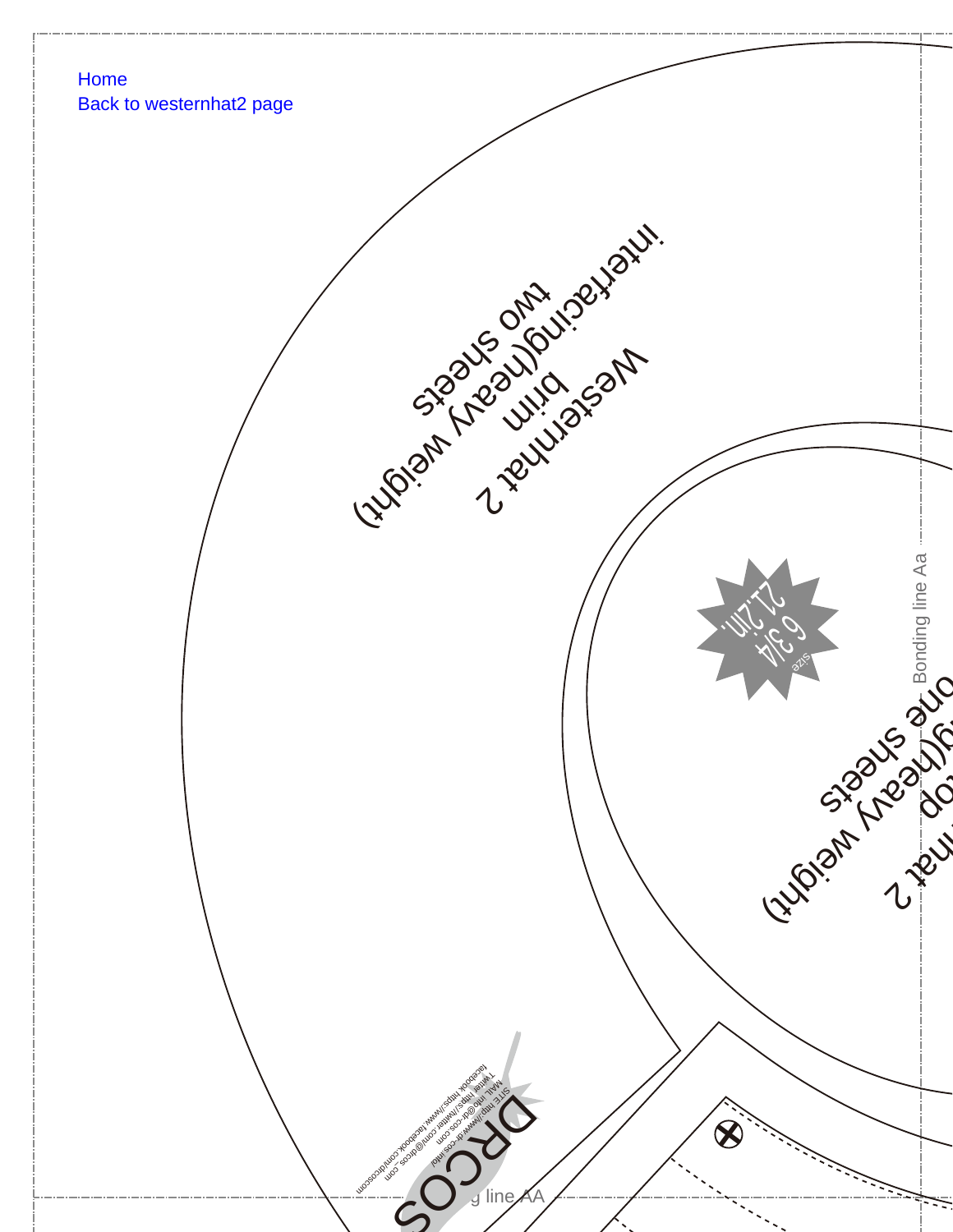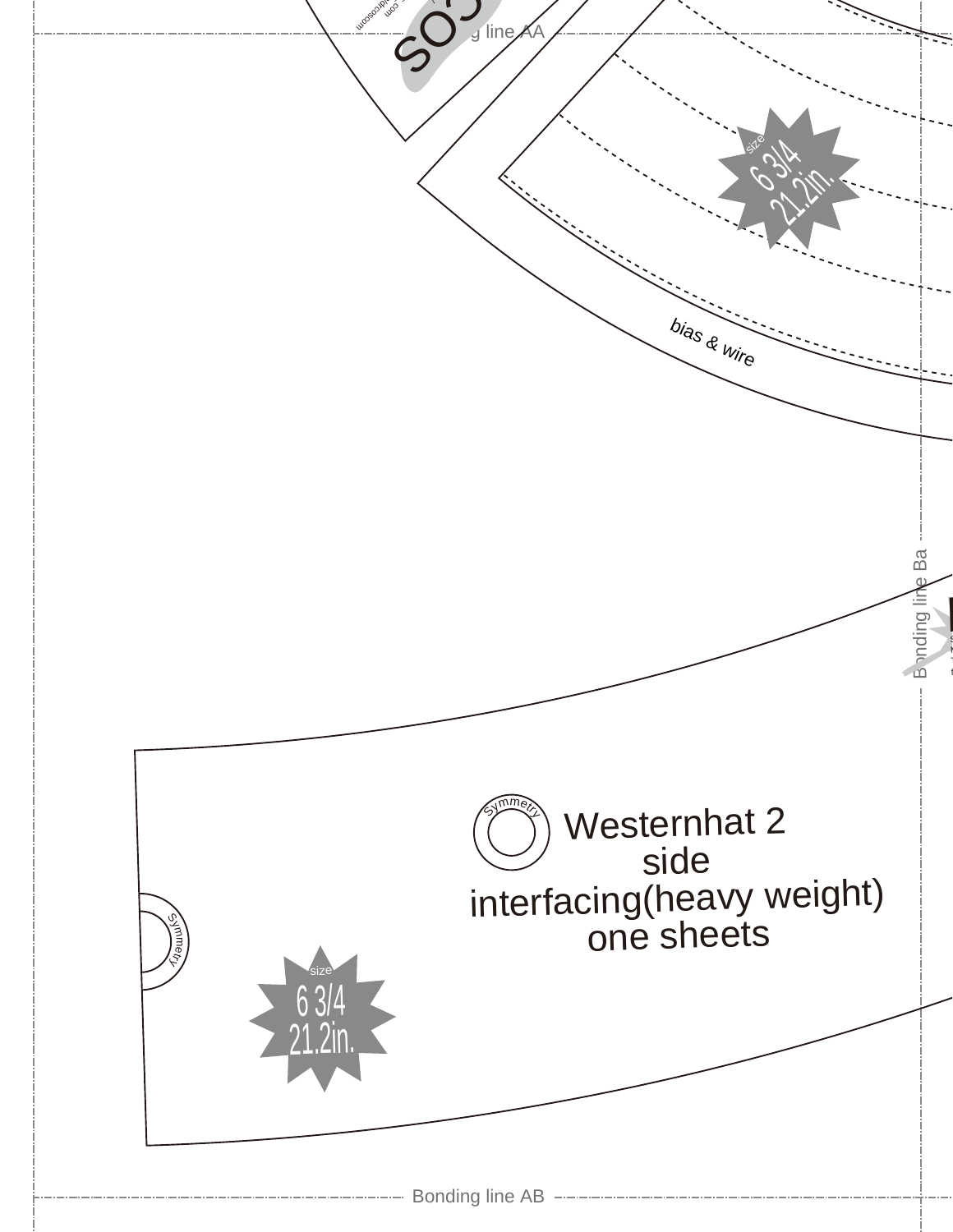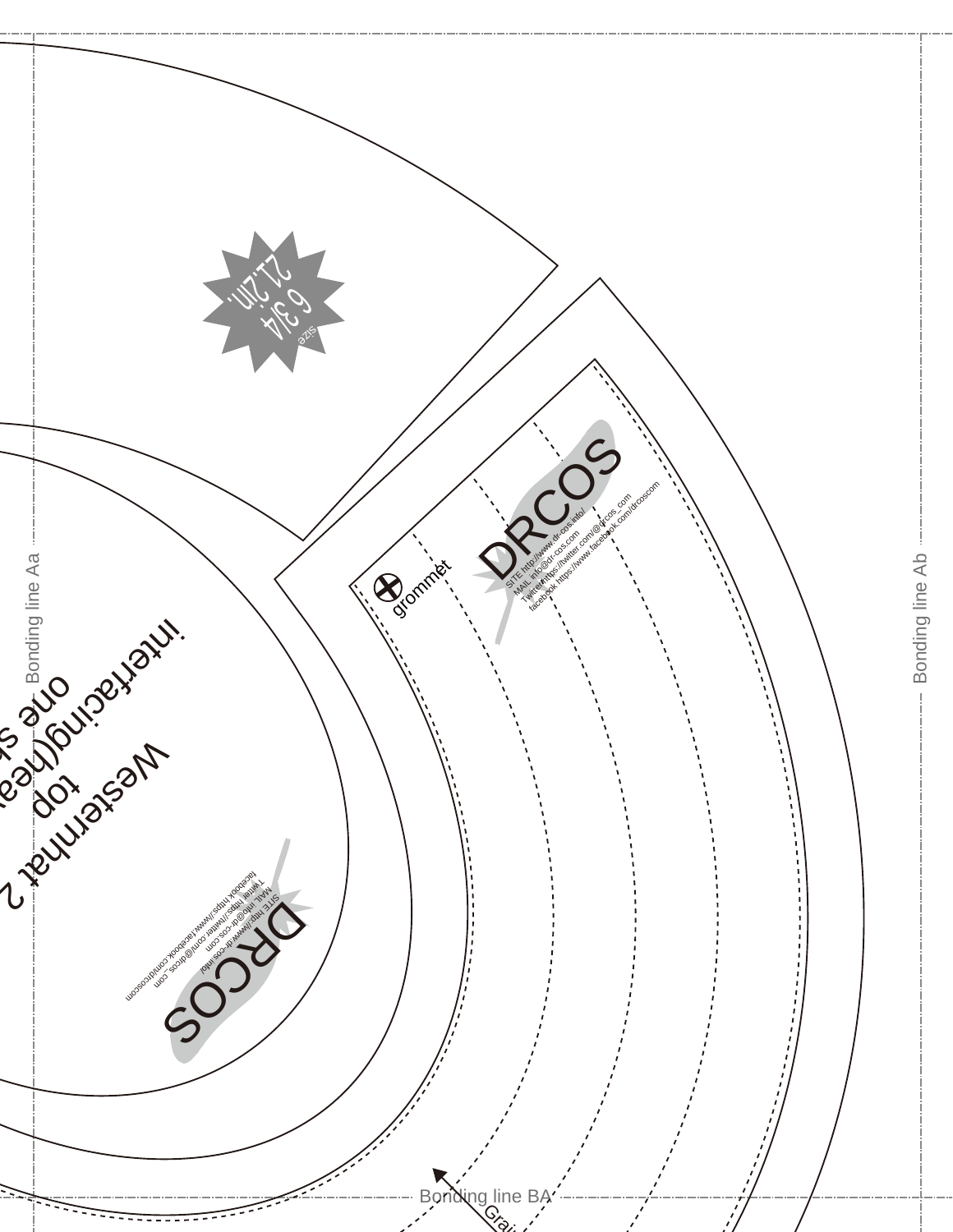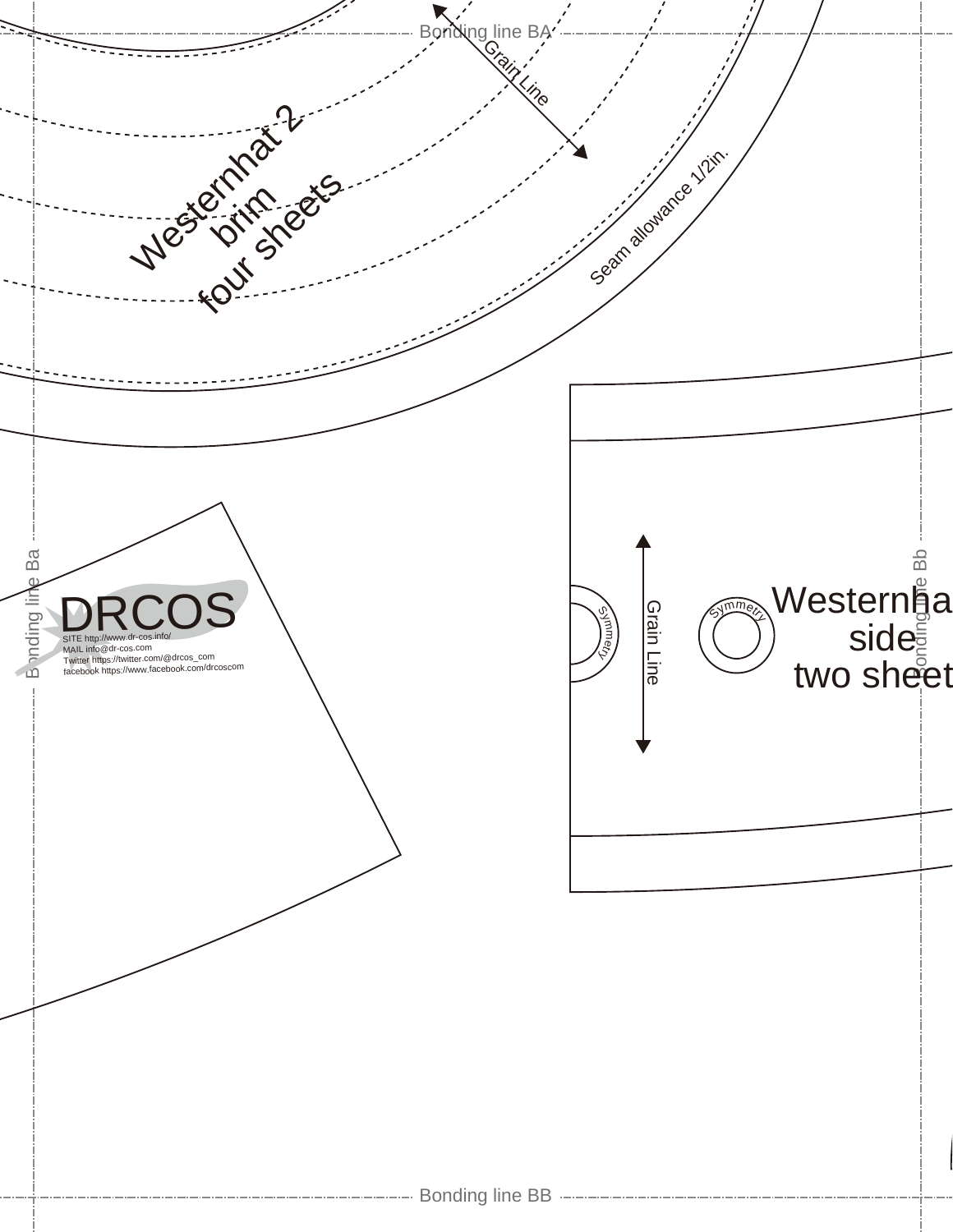